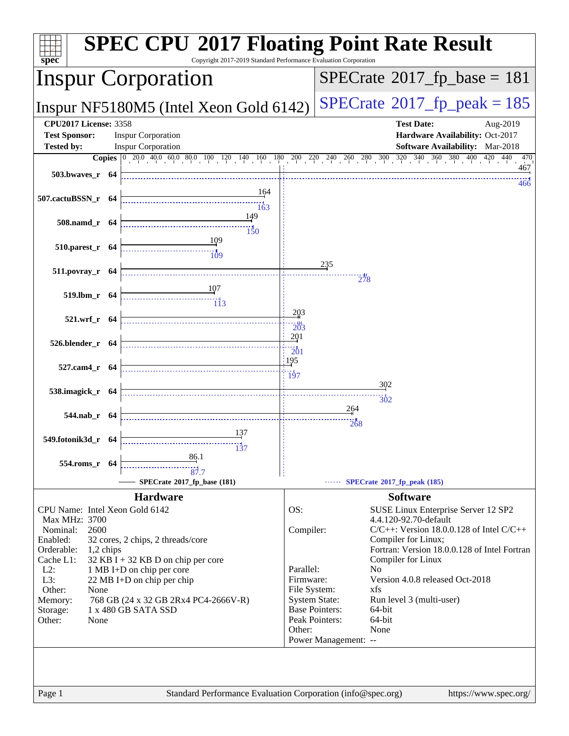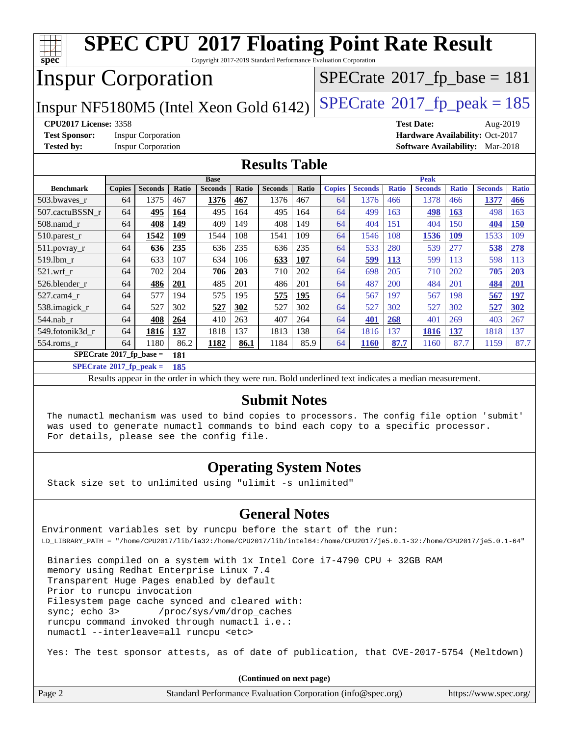| <b>SPEC CPU®2017 Floating Point Rate Result</b>                          |                                                              |                           |       |                |              |                |             |               |                |              |                                |              |                                        |              |
|--------------------------------------------------------------------------|--------------------------------------------------------------|---------------------------|-------|----------------|--------------|----------------|-------------|---------------|----------------|--------------|--------------------------------|--------------|----------------------------------------|--------------|
| spec<br>Copyright 2017-2019 Standard Performance Evaluation Corporation  |                                                              |                           |       |                |              |                |             |               |                |              |                                |              |                                        |              |
| <b>Inspur Corporation</b>                                                |                                                              |                           |       |                |              |                |             |               |                |              | $SPECTate@2017_fp\_base = 181$ |              |                                        |              |
| $SPECTate@2017_fp\_peak = 185$<br>Inspur NF5180M5 (Intel Xeon Gold 6142) |                                                              |                           |       |                |              |                |             |               |                |              |                                |              |                                        |              |
| <b>CPU2017 License: 3358</b><br><b>Test Date:</b><br>Aug-2019            |                                                              |                           |       |                |              |                |             |               |                |              |                                |              |                                        |              |
| <b>Test Sponsor:</b>                                                     | Hardware Availability: Oct-2017<br><b>Inspur Corporation</b> |                           |       |                |              |                |             |               |                |              |                                |              |                                        |              |
| <b>Tested by:</b>                                                        |                                                              | <b>Inspur Corporation</b> |       |                |              |                |             |               |                |              |                                |              | <b>Software Availability:</b> Mar-2018 |              |
| <b>Results Table</b>                                                     |                                                              |                           |       |                |              |                |             |               |                |              |                                |              |                                        |              |
| <b>Base</b>                                                              |                                                              |                           |       |                |              |                | <b>Peak</b> |               |                |              |                                |              |                                        |              |
| <b>Benchmark</b>                                                         | <b>Copies</b>                                                | <b>Seconds</b>            | Ratio | <b>Seconds</b> | <b>Ratio</b> | <b>Seconds</b> | Ratio       | <b>Copies</b> | <b>Seconds</b> | <b>Ratio</b> | <b>Seconds</b>                 | <b>Ratio</b> | <b>Seconds</b>                         | <b>Ratio</b> |
| 503.bwaves r                                                             | 64                                                           | 1375                      | 467   | 1376           | 467          | 1376           | 467         | 64            | 1376           | 466          | 1378                           | 466          | 1377                                   | 466          |
| 507.cactuBSSN_r                                                          | 64                                                           | 495                       | 164   | 495            | 164          | 495            | 164         | 64            | 499            | 163          | 498                            | 163          | 498                                    | 163          |
| 508.namd_r                                                               | 64                                                           | 408                       | 149   | 409            | 149          | 408            | 149         | 64            | 404            | 151          | 404                            | 150          | 404                                    | 150          |
| 510.parest_r                                                             | 64                                                           | 1542                      | 109   | 1544           | 108          | 1541           | 109         | 64            | 1546           | 108          | 1536                           | 109          | 1533                                   | 109          |
| 511.povray_r                                                             | 64                                                           | 636                       | 235   | 636            | 235          | 636            | 235         | 64            | 533            | 280          | 539                            | 277          | 538                                    | 278          |
| 519.lbm r                                                                | 64                                                           | 633                       | 107   | 634            | 106          | 633            | 107         | 64            | 599            | 113          | 599                            | 113          | 598                                    | 113          |
| 521.wrf r                                                                | 64                                                           | 702                       | 204   | 706            | 203          | 710            | 202         | 64            | 698            | 205          | 710                            | 202          | 705                                    | 203          |
| 526.blender r                                                            | 64                                                           | 486                       | 201   | 485            | 201          | 486            | 201         | 64            | 487            | 200          | 484                            | 201          | 484                                    | <b>201</b>   |
| 527.cam4 r                                                               | 64                                                           | 577                       | 194   | 575            | 195          | 575            | 195         | 64            | 567            | 197          | 567                            | 198          | 567                                    | <u>197</u>   |
| 538.imagick_r                                                            | 64                                                           | 527                       | 302   | 527            | 302          | 527            | 302         | 64            | 527            | 302          | 527                            | 302          | 527                                    | 302          |
| 544.nab r                                                                | 64                                                           | 408                       | 264   | 410            | 263          | 407            | 264         | 64            | 401            | 268          | 401                            | 269          | 403                                    | 267          |
| 549.fotonik3d r                                                          | 64                                                           | 1816                      | 137   | 1818           | 137          | 1813           | 138         | 64            | 1816           | 137          | 1816                           | 137          | 1818                                   | 137          |
| 554.roms r                                                               | 64                                                           | 1180                      | 86.2  | 1182           | 86.1         | 1184           | 85.9        | 64            | 1160           | 87.7         | 1160                           | 87.7         | 1159                                   | 87.7         |
| $SPECrate*2017_fp\_base =$<br>181                                        |                                                              |                           |       |                |              |                |             |               |                |              |                                |              |                                        |              |
| $SPECrate^{\circ}2017$ fp peak =                                         |                                                              |                           | 185   |                |              |                |             |               |                |              |                                |              |                                        |              |

Results appear in the [order in which they were run.](http://www.spec.org/auto/cpu2017/Docs/result-fields.html#RunOrder) Bold underlined text [indicates a median measurement.](http://www.spec.org/auto/cpu2017/Docs/result-fields.html#Median)

### **[Submit Notes](http://www.spec.org/auto/cpu2017/Docs/result-fields.html#SubmitNotes)**

 The numactl mechanism was used to bind copies to processors. The config file option 'submit' was used to generate numactl commands to bind each copy to a specific processor. For details, please see the config file.

### **[Operating System Notes](http://www.spec.org/auto/cpu2017/Docs/result-fields.html#OperatingSystemNotes)**

Stack size set to unlimited using "ulimit -s unlimited"

### **[General Notes](http://www.spec.org/auto/cpu2017/Docs/result-fields.html#GeneralNotes)**

Environment variables set by runcpu before the start of the run: LD\_LIBRARY\_PATH = "/home/CPU2017/lib/ia32:/home/CPU2017/lib/intel64:/home/CPU2017/je5.0.1-32:/home/CPU2017/je5.0.1-64"

 Binaries compiled on a system with 1x Intel Core i7-4790 CPU + 32GB RAM memory using Redhat Enterprise Linux 7.4 Transparent Huge Pages enabled by default Prior to runcpu invocation Filesystem page cache synced and cleared with: sync; echo 3> /proc/sys/vm/drop\_caches runcpu command invoked through numactl i.e.: numactl --interleave=all runcpu <etc>

Yes: The test sponsor attests, as of date of publication, that CVE-2017-5754 (Meltdown)

**(Continued on next page)**

| Page 2 | Standard Performance Evaluation Corporation (info@spec.org) | https://www.spec.org/ |
|--------|-------------------------------------------------------------|-----------------------|
|--------|-------------------------------------------------------------|-----------------------|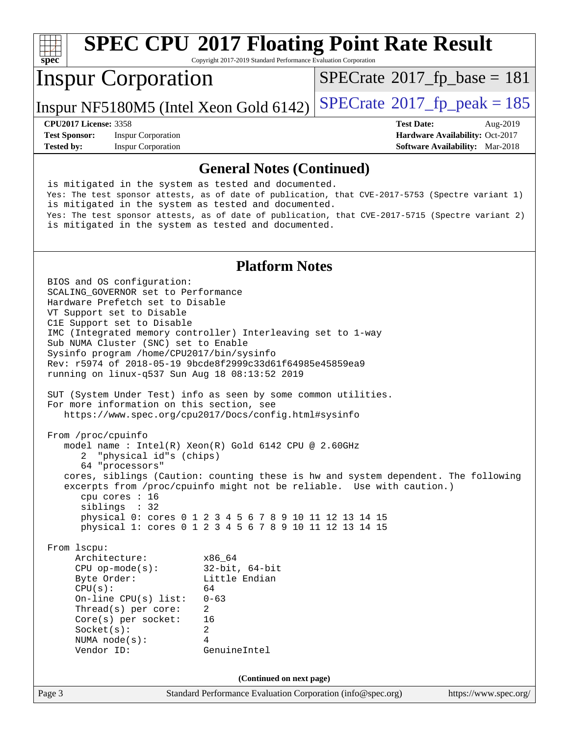# **[SPEC CPU](http://www.spec.org/auto/cpu2017/Docs/result-fields.html#SPECCPU2017FloatingPointRateResult)[2017 Floating Point Rate Result](http://www.spec.org/auto/cpu2017/Docs/result-fields.html#SPECCPU2017FloatingPointRateResult)**

Copyright 2017-2019 Standard Performance Evaluation Corporation

## Inspur Corporation

 $SPECTate@2017_fp\_base = 181$ 

Inspur NF5180M5 (Intel Xeon Gold  $6142$ ) [SPECrate](http://www.spec.org/auto/cpu2017/Docs/result-fields.html#SPECrate2017fppeak)<sup>®</sup>[2017\\_fp\\_peak = 1](http://www.spec.org/auto/cpu2017/Docs/result-fields.html#SPECrate2017fppeak)85

**[spec](http://www.spec.org/)**

**[Test Sponsor:](http://www.spec.org/auto/cpu2017/Docs/result-fields.html#TestSponsor)** Inspur Corporation **[Hardware Availability:](http://www.spec.org/auto/cpu2017/Docs/result-fields.html#HardwareAvailability)** Oct-2017 **[Tested by:](http://www.spec.org/auto/cpu2017/Docs/result-fields.html#Testedby)** Inspur Corporation **[Software Availability:](http://www.spec.org/auto/cpu2017/Docs/result-fields.html#SoftwareAvailability)** Mar-2018

**[CPU2017 License:](http://www.spec.org/auto/cpu2017/Docs/result-fields.html#CPU2017License)** 3358 **[Test Date:](http://www.spec.org/auto/cpu2017/Docs/result-fields.html#TestDate)** Aug-2019

### **[General Notes \(Continued\)](http://www.spec.org/auto/cpu2017/Docs/result-fields.html#GeneralNotes)**

 is mitigated in the system as tested and documented. Yes: The test sponsor attests, as of date of publication, that CVE-2017-5753 (Spectre variant 1) is mitigated in the system as tested and documented. Yes: The test sponsor attests, as of date of publication, that CVE-2017-5715 (Spectre variant 2) is mitigated in the system as tested and documented.

### **[Platform Notes](http://www.spec.org/auto/cpu2017/Docs/result-fields.html#PlatformNotes)**

Page 3 Standard Performance Evaluation Corporation [\(info@spec.org\)](mailto:info@spec.org) <https://www.spec.org/> BIOS and OS configuration: SCALING\_GOVERNOR set to Performance Hardware Prefetch set to Disable VT Support set to Disable C1E Support set to Disable IMC (Integrated memory controller) Interleaving set to 1-way Sub NUMA Cluster (SNC) set to Enable Sysinfo program /home/CPU2017/bin/sysinfo Rev: r5974 of 2018-05-19 9bcde8f2999c33d61f64985e45859ea9 running on linux-q537 Sun Aug 18 08:13:52 2019 SUT (System Under Test) info as seen by some common utilities. For more information on this section, see <https://www.spec.org/cpu2017/Docs/config.html#sysinfo> From /proc/cpuinfo model name : Intel(R) Xeon(R) Gold 6142 CPU @ 2.60GHz 2 "physical id"s (chips) 64 "processors" cores, siblings (Caution: counting these is hw and system dependent. The following excerpts from /proc/cpuinfo might not be reliable. Use with caution.) cpu cores : 16 siblings : 32 physical 0: cores 0 1 2 3 4 5 6 7 8 9 10 11 12 13 14 15 physical 1: cores 0 1 2 3 4 5 6 7 8 9 10 11 12 13 14 15 From lscpu: Architecture: x86\_64 CPU op-mode(s): 32-bit, 64-bit Byte Order: Little Endian  $CPU(s):$  64 On-line CPU(s) list: 0-63 Thread(s) per core: 2 Core(s) per socket: 16 Socket(s): 2 NUMA node(s): 4 Vendor ID: GenuineIntel **(Continued on next page)**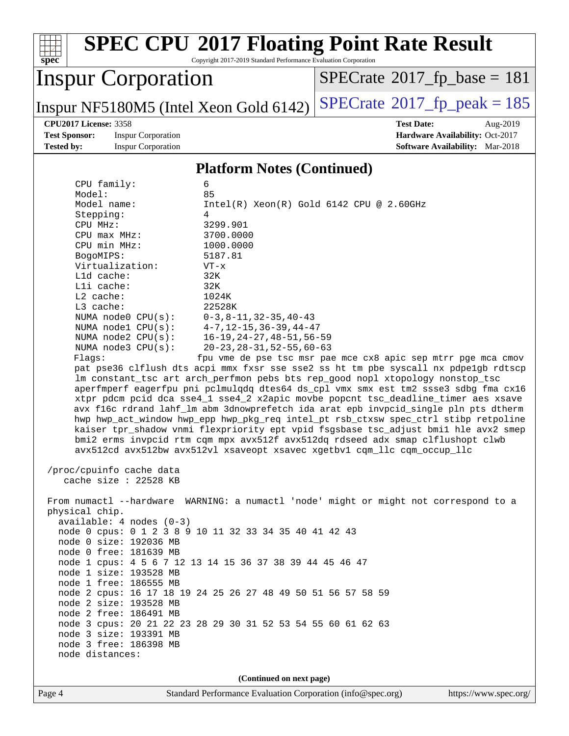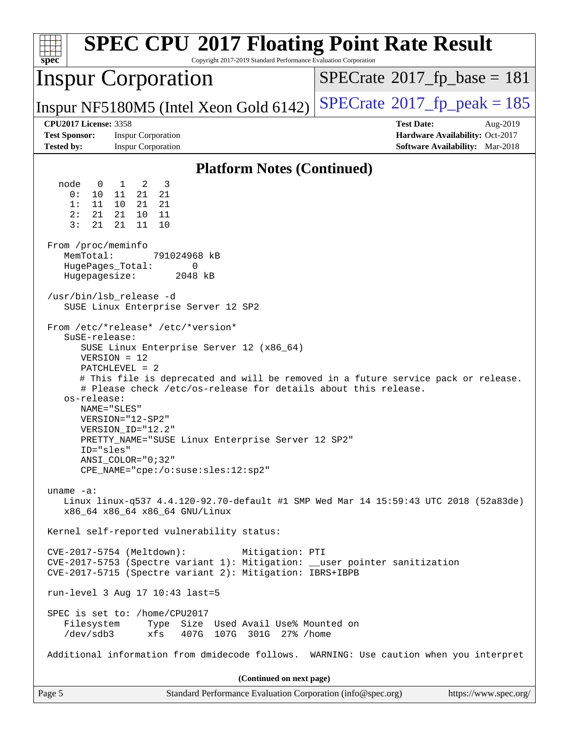| $spec^*$                                                                                                                                                                                     | <b>SPEC CPU®2017 Floating Point Rate Result</b><br>Copyright 2017-2019 Standard Performance Evaluation Corporation                                                                                                                                                                                                                                                                                                                                                                                                                                                                                                                                                |                                      |                                                                                       |
|----------------------------------------------------------------------------------------------------------------------------------------------------------------------------------------------|-------------------------------------------------------------------------------------------------------------------------------------------------------------------------------------------------------------------------------------------------------------------------------------------------------------------------------------------------------------------------------------------------------------------------------------------------------------------------------------------------------------------------------------------------------------------------------------------------------------------------------------------------------------------|--------------------------------------|---------------------------------------------------------------------------------------|
|                                                                                                                                                                                              | <b>Inspur Corporation</b>                                                                                                                                                                                                                                                                                                                                                                                                                                                                                                                                                                                                                                         | $SPECrate^{\circ}2017$ fp base = 181 |                                                                                       |
|                                                                                                                                                                                              | Inspur NF5180M5 (Intel Xeon Gold 6142)                                                                                                                                                                                                                                                                                                                                                                                                                                                                                                                                                                                                                            | $SPECTate@2017fr peak = 185$         |                                                                                       |
| <b>CPU2017 License: 3358</b><br><b>Test Sponsor:</b><br><b>Tested by:</b>                                                                                                                    | <b>Inspur Corporation</b><br><b>Inspur Corporation</b>                                                                                                                                                                                                                                                                                                                                                                                                                                                                                                                                                                                                            | <b>Test Date:</b>                    | Aug-2019<br>Hardware Availability: Oct-2017<br><b>Software Availability:</b> Mar-2018 |
|                                                                                                                                                                                              | <b>Platform Notes (Continued)</b>                                                                                                                                                                                                                                                                                                                                                                                                                                                                                                                                                                                                                                 |                                      |                                                                                       |
| node<br>$\overline{0}$<br>0 :<br>10<br>11<br>1:<br>2:<br>21<br>3:<br>21<br>From /proc/meminfo<br>MemTotal:<br>HugePages_Total:<br>Hugepagesize:<br>SuSE-release:<br>os-release:<br>ID="sles" | 2<br>3<br>$\mathbf{1}$<br>11<br>21<br>21<br>21<br>10<br>21<br>21<br>10<br>11<br>21<br>11<br>10<br>791024968 kB<br>0<br>2048 kB<br>/usr/bin/lsb_release -d<br>SUSE Linux Enterprise Server 12 SP2<br>From /etc/*release* /etc/*version*<br>SUSE Linux Enterprise Server 12 (x86_64)<br>$VERSION = 12$<br>PATCHLEVEL = 2<br># This file is deprecated and will be removed in a future service pack or release.<br># Please check /etc/os-release for details about this release.<br>NAME="SLES"<br>$VERSION = "12-SP2"$<br>VERSION_ID="12.2"<br>PRETTY_NAME="SUSE Linux Enterprise Server 12 SP2"<br>$ANSI$ _COLOR=" $0:32$ "<br>CPE_NAME="cpe:/o:suse:sles:12:sp2" |                                      |                                                                                       |
| uname $-a$ :                                                                                                                                                                                 | Linux linux-q537 4.4.120-92.70-default #1 SMP Wed Mar 14 15:59:43 UTC 2018 (52a83de)<br>x86_64 x86_64 x86_64 GNU/Linux                                                                                                                                                                                                                                                                                                                                                                                                                                                                                                                                            |                                      |                                                                                       |
|                                                                                                                                                                                              | Kernel self-reported vulnerability status:                                                                                                                                                                                                                                                                                                                                                                                                                                                                                                                                                                                                                        |                                      |                                                                                       |
|                                                                                                                                                                                              | CVE-2017-5754 (Meltdown):<br>Mitigation: PTI<br>CVE-2017-5753 (Spectre variant 1): Mitigation: __user pointer sanitization<br>CVE-2017-5715 (Spectre variant 2): Mitigation: IBRS+IBPB                                                                                                                                                                                                                                                                                                                                                                                                                                                                            |                                      |                                                                                       |
|                                                                                                                                                                                              | run-level 3 Aug 17 10:43 last=5                                                                                                                                                                                                                                                                                                                                                                                                                                                                                                                                                                                                                                   |                                      |                                                                                       |
| Filesystem<br>/dev/sdb3                                                                                                                                                                      | SPEC is set to: /home/CPU2017<br>Type Size Used Avail Use% Mounted on<br>xfs<br>407G 107G 301G 27% / home                                                                                                                                                                                                                                                                                                                                                                                                                                                                                                                                                         |                                      |                                                                                       |
|                                                                                                                                                                                              | Additional information from dmidecode follows. WARNING: Use caution when you interpret                                                                                                                                                                                                                                                                                                                                                                                                                                                                                                                                                                            |                                      |                                                                                       |
|                                                                                                                                                                                              | (Continued on next page)                                                                                                                                                                                                                                                                                                                                                                                                                                                                                                                                                                                                                                          |                                      |                                                                                       |
| Page 5                                                                                                                                                                                       | Standard Performance Evaluation Corporation (info@spec.org)                                                                                                                                                                                                                                                                                                                                                                                                                                                                                                                                                                                                       |                                      | https://www.spec.org/                                                                 |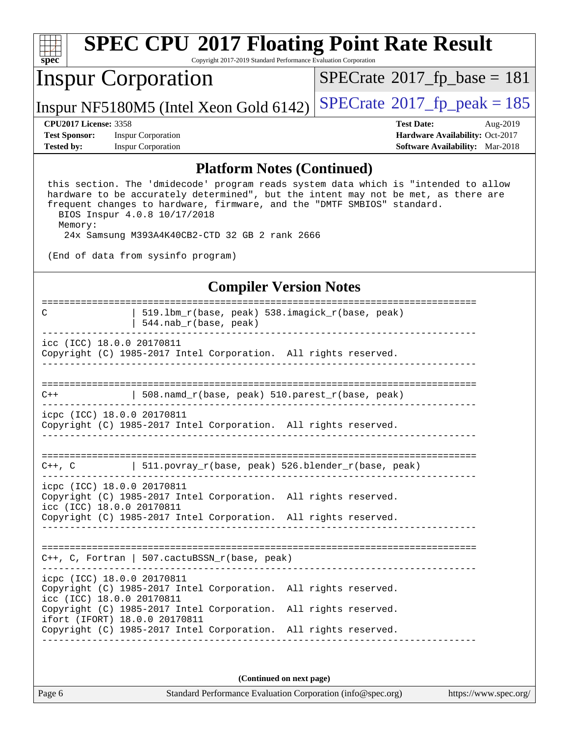| spec |  |  |  |
|------|--|--|--|

# **[SPEC CPU](http://www.spec.org/auto/cpu2017/Docs/result-fields.html#SPECCPU2017FloatingPointRateResult)[2017 Floating Point Rate Result](http://www.spec.org/auto/cpu2017/Docs/result-fields.html#SPECCPU2017FloatingPointRateResult)**

Copyright 2017-2019 Standard Performance Evaluation Corporation

## Inspur Corporation

 $SPECrate@2017_fp\_base = 181$  $SPECrate@2017_fp\_base = 181$ 

Inspur NF5180M5 (Intel Xeon Gold 6142)  $\left|$  [SPECrate](http://www.spec.org/auto/cpu2017/Docs/result-fields.html#SPECrate2017fppeak)®[2017\\_fp\\_peak = 1](http://www.spec.org/auto/cpu2017/Docs/result-fields.html#SPECrate2017fppeak)85

**[Test Sponsor:](http://www.spec.org/auto/cpu2017/Docs/result-fields.html#TestSponsor)** Inspur Corporation **[Hardware Availability:](http://www.spec.org/auto/cpu2017/Docs/result-fields.html#HardwareAvailability)** Oct-2017 **[Tested by:](http://www.spec.org/auto/cpu2017/Docs/result-fields.html#Testedby)** Inspur Corporation **[Software Availability:](http://www.spec.org/auto/cpu2017/Docs/result-fields.html#SoftwareAvailability)** Mar-2018

**[CPU2017 License:](http://www.spec.org/auto/cpu2017/Docs/result-fields.html#CPU2017License)** 3358 **[Test Date:](http://www.spec.org/auto/cpu2017/Docs/result-fields.html#TestDate)** Aug-2019

### **[Platform Notes \(Continued\)](http://www.spec.org/auto/cpu2017/Docs/result-fields.html#PlatformNotes)**

 this section. The 'dmidecode' program reads system data which is "intended to allow hardware to be accurately determined", but the intent may not be met, as there are frequent changes to hardware, firmware, and the "DMTF SMBIOS" standard. BIOS Inspur 4.0.8 10/17/2018

Memory:

24x Samsung M393A4K40CB2-CTD 32 GB 2 rank 2666

(End of data from sysinfo program)

### **[Compiler Version Notes](http://www.spec.org/auto/cpu2017/Docs/result-fields.html#CompilerVersionNotes)**

|                                                                                              | -------------------------------------                                      |  |  |  |  |  |
|----------------------------------------------------------------------------------------------|----------------------------------------------------------------------------|--|--|--|--|--|
| C                                                                                            | 519.1bm_r(base, peak) 538.imagick_r(base, peak)<br>$544.nab_r(base, peak)$ |  |  |  |  |  |
| icc (ICC) 18.0.0 20170811<br>Copyright (C) 1985-2017 Intel Corporation. All rights reserved. |                                                                            |  |  |  |  |  |
|                                                                                              |                                                                            |  |  |  |  |  |
| $C++$                                                                                        | 508.namd_r(base, peak) 510.parest_r(base, peak)                            |  |  |  |  |  |
| icpc (ICC) 18.0.0 20170811                                                                   | Copyright (C) 1985-2017 Intel Corporation. All rights reserved.            |  |  |  |  |  |
|                                                                                              |                                                                            |  |  |  |  |  |
|                                                                                              | $C++$ , C   511.povray_r(base, peak) 526.blender_r(base, peak)             |  |  |  |  |  |
| icpc (ICC) 18.0.0 20170811<br>icc (ICC) 18.0.0 20170811                                      | Copyright (C) 1985-2017 Intel Corporation. All rights reserved.            |  |  |  |  |  |
|                                                                                              | Copyright (C) 1985-2017 Intel Corporation. All rights reserved.            |  |  |  |  |  |
|                                                                                              |                                                                            |  |  |  |  |  |
|                                                                                              | $C++$ , C, Fortran   507.cactuBSSN_r(base, peak)                           |  |  |  |  |  |
| icpc (ICC) 18.0.0 20170811                                                                   |                                                                            |  |  |  |  |  |
| icc (ICC) 18.0.0 20170811                                                                    | Copyright (C) 1985-2017 Intel Corporation. All rights reserved.            |  |  |  |  |  |
| ifort (IFORT) 18.0.0 20170811                                                                | Copyright (C) 1985-2017 Intel Corporation. All rights reserved.            |  |  |  |  |  |
|                                                                                              | Copyright (C) 1985-2017 Intel Corporation. All rights reserved.            |  |  |  |  |  |
|                                                                                              |                                                                            |  |  |  |  |  |
|                                                                                              |                                                                            |  |  |  |  |  |

**(Continued on next page)**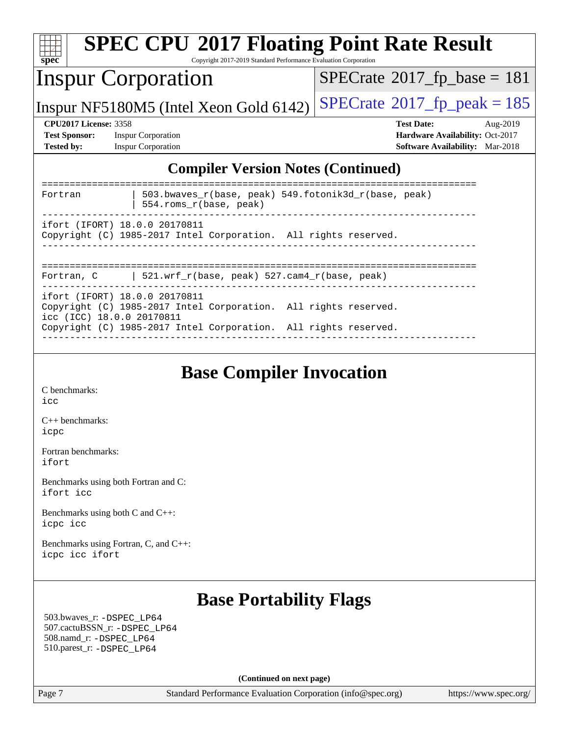| <b>Inspur Corporation</b>                                                                                                                                                                        | Copyright 2017-2019 Standard Performance Evaluation Corporation<br>$SPECrate^{\circ}2017$ fp base = 181 |
|--------------------------------------------------------------------------------------------------------------------------------------------------------------------------------------------------|---------------------------------------------------------------------------------------------------------|
| Inspur NF5180M5 (Intel Xeon Gold 6142)                                                                                                                                                           | $SPECTate$ <sup>®</sup> 2017_fp_peak = 185                                                              |
| <b>CPU2017 License: 3358</b><br><b>Test Sponsor:</b><br><b>Inspur Corporation</b><br><b>Inspur Corporation</b><br><b>Tested by:</b>                                                              | <b>Test Date:</b><br>Aug-2019<br>Hardware Availability: Oct-2017<br>Software Availability: Mar-2018     |
| <b>Compiler Version Notes (Continued)</b>                                                                                                                                                        |                                                                                                         |
| 503.bwaves_r(base, peak) 549.fotonik3d_r(base, peak)<br>Fortran<br>554.roms_r(base, peak)                                                                                                        | ==============                                                                                          |
| ifort (IFORT) 18.0.0 20170811<br>Copyright (C) 1985-2017 Intel Corporation. All rights reserved.                                                                                                 |                                                                                                         |
| Fortran, C   521.wrf_r(base, peak) 527.cam4_r(base, peak)                                                                                                                                        |                                                                                                         |
| ifort (IFORT) 18.0.0 20170811<br>Copyright (C) 1985-2017 Intel Corporation. All rights reserved.<br>icc (ICC) 18.0.0 20170811<br>Copyright (C) 1985-2017 Intel Corporation. All rights reserved. |                                                                                                         |
|                                                                                                                                                                                                  |                                                                                                         |
| <b>Base Compiler Invocation</b>                                                                                                                                                                  |                                                                                                         |
| C benchmarks:<br>icc                                                                                                                                                                             |                                                                                                         |
| $C_{++}$ benchmarks:<br>icpc                                                                                                                                                                     |                                                                                                         |
| Fortran benchmarks:<br>ifort                                                                                                                                                                     |                                                                                                         |
| Benchmarks using both Fortran and C:<br>ifort icc                                                                                                                                                |                                                                                                         |
|                                                                                                                                                                                                  |                                                                                                         |
| Benchmarks using both C and C++:<br>icpc icc                                                                                                                                                     |                                                                                                         |

 503.bwaves\_r: [-DSPEC\\_LP64](http://www.spec.org/cpu2017/results/res2019q3/cpu2017-20190819-16996.flags.html#suite_basePORTABILITY503_bwaves_r_DSPEC_LP64) 507.cactuBSSN\_r: [-DSPEC\\_LP64](http://www.spec.org/cpu2017/results/res2019q3/cpu2017-20190819-16996.flags.html#suite_basePORTABILITY507_cactuBSSN_r_DSPEC_LP64) 508.namd\_r: [-DSPEC\\_LP64](http://www.spec.org/cpu2017/results/res2019q3/cpu2017-20190819-16996.flags.html#suite_basePORTABILITY508_namd_r_DSPEC_LP64) 510.parest\_r: [-DSPEC\\_LP64](http://www.spec.org/cpu2017/results/res2019q3/cpu2017-20190819-16996.flags.html#suite_basePORTABILITY510_parest_r_DSPEC_LP64)

**(Continued on next page)**

Page 7 Standard Performance Evaluation Corporation [\(info@spec.org\)](mailto:info@spec.org) <https://www.spec.org/>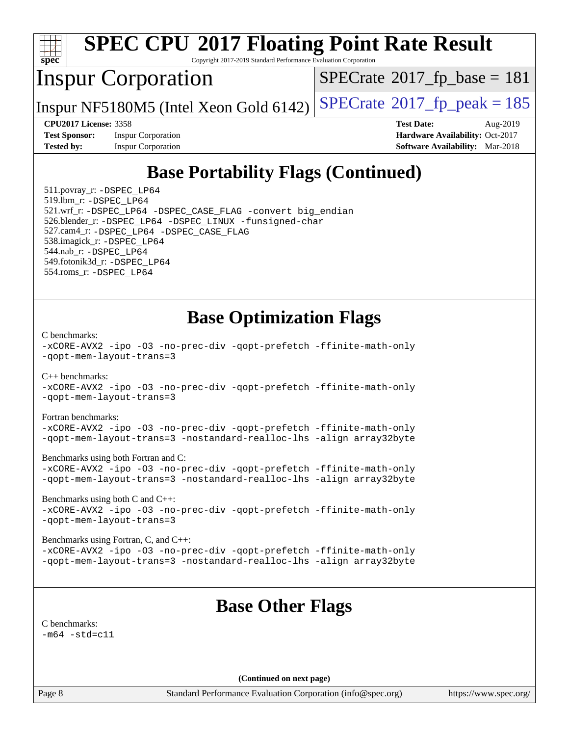

# **[SPEC CPU](http://www.spec.org/auto/cpu2017/Docs/result-fields.html#SPECCPU2017FloatingPointRateResult)[2017 Floating Point Rate Result](http://www.spec.org/auto/cpu2017/Docs/result-fields.html#SPECCPU2017FloatingPointRateResult)**

Copyright 2017-2019 Standard Performance Evaluation Corporation

## Inspur Corporation

 $SPECTate@2017_fp\_base = 181$ 

Inspur NF5180M5 (Intel Xeon Gold  $6142$ ) [SPECrate](http://www.spec.org/auto/cpu2017/Docs/result-fields.html#SPECrate2017fppeak)<sup>®</sup>[2017\\_fp\\_peak = 1](http://www.spec.org/auto/cpu2017/Docs/result-fields.html#SPECrate2017fppeak)85

**[Test Sponsor:](http://www.spec.org/auto/cpu2017/Docs/result-fields.html#TestSponsor)** Inspur Corporation **[Hardware Availability:](http://www.spec.org/auto/cpu2017/Docs/result-fields.html#HardwareAvailability)** Oct-2017

**[CPU2017 License:](http://www.spec.org/auto/cpu2017/Docs/result-fields.html#CPU2017License)** 3358 **[Test Date:](http://www.spec.org/auto/cpu2017/Docs/result-fields.html#TestDate)** Aug-2019 **[Tested by:](http://www.spec.org/auto/cpu2017/Docs/result-fields.html#Testedby)** Inspur Corporation **[Software Availability:](http://www.spec.org/auto/cpu2017/Docs/result-fields.html#SoftwareAvailability)** Mar-2018

## **[Base Portability Flags \(Continued\)](http://www.spec.org/auto/cpu2017/Docs/result-fields.html#BasePortabilityFlags)**

 511.povray\_r: [-DSPEC\\_LP64](http://www.spec.org/cpu2017/results/res2019q3/cpu2017-20190819-16996.flags.html#suite_basePORTABILITY511_povray_r_DSPEC_LP64) 519.lbm\_r: [-DSPEC\\_LP64](http://www.spec.org/cpu2017/results/res2019q3/cpu2017-20190819-16996.flags.html#suite_basePORTABILITY519_lbm_r_DSPEC_LP64) 521.wrf\_r: [-DSPEC\\_LP64](http://www.spec.org/cpu2017/results/res2019q3/cpu2017-20190819-16996.flags.html#suite_basePORTABILITY521_wrf_r_DSPEC_LP64) [-DSPEC\\_CASE\\_FLAG](http://www.spec.org/cpu2017/results/res2019q3/cpu2017-20190819-16996.flags.html#b521.wrf_r_baseCPORTABILITY_DSPEC_CASE_FLAG) [-convert big\\_endian](http://www.spec.org/cpu2017/results/res2019q3/cpu2017-20190819-16996.flags.html#user_baseFPORTABILITY521_wrf_r_convert_big_endian_c3194028bc08c63ac5d04de18c48ce6d347e4e562e8892b8bdbdc0214820426deb8554edfa529a3fb25a586e65a3d812c835984020483e7e73212c4d31a38223) 526.blender\_r: [-DSPEC\\_LP64](http://www.spec.org/cpu2017/results/res2019q3/cpu2017-20190819-16996.flags.html#suite_basePORTABILITY526_blender_r_DSPEC_LP64) [-DSPEC\\_LINUX](http://www.spec.org/cpu2017/results/res2019q3/cpu2017-20190819-16996.flags.html#b526.blender_r_baseCPORTABILITY_DSPEC_LINUX) [-funsigned-char](http://www.spec.org/cpu2017/results/res2019q3/cpu2017-20190819-16996.flags.html#user_baseCPORTABILITY526_blender_r_force_uchar_40c60f00ab013830e2dd6774aeded3ff59883ba5a1fc5fc14077f794d777847726e2a5858cbc7672e36e1b067e7e5c1d9a74f7176df07886a243d7cc18edfe67) 527.cam4\_r: [-DSPEC\\_LP64](http://www.spec.org/cpu2017/results/res2019q3/cpu2017-20190819-16996.flags.html#suite_basePORTABILITY527_cam4_r_DSPEC_LP64) [-DSPEC\\_CASE\\_FLAG](http://www.spec.org/cpu2017/results/res2019q3/cpu2017-20190819-16996.flags.html#b527.cam4_r_baseCPORTABILITY_DSPEC_CASE_FLAG) 538.imagick\_r: [-DSPEC\\_LP64](http://www.spec.org/cpu2017/results/res2019q3/cpu2017-20190819-16996.flags.html#suite_basePORTABILITY538_imagick_r_DSPEC_LP64) 544.nab\_r: [-DSPEC\\_LP64](http://www.spec.org/cpu2017/results/res2019q3/cpu2017-20190819-16996.flags.html#suite_basePORTABILITY544_nab_r_DSPEC_LP64) 549.fotonik3d\_r: [-DSPEC\\_LP64](http://www.spec.org/cpu2017/results/res2019q3/cpu2017-20190819-16996.flags.html#suite_basePORTABILITY549_fotonik3d_r_DSPEC_LP64) 554.roms\_r: [-DSPEC\\_LP64](http://www.spec.org/cpu2017/results/res2019q3/cpu2017-20190819-16996.flags.html#suite_basePORTABILITY554_roms_r_DSPEC_LP64)

## **[Base Optimization Flags](http://www.spec.org/auto/cpu2017/Docs/result-fields.html#BaseOptimizationFlags)**

[C benchmarks](http://www.spec.org/auto/cpu2017/Docs/result-fields.html#Cbenchmarks): [-xCORE-AVX2](http://www.spec.org/cpu2017/results/res2019q3/cpu2017-20190819-16996.flags.html#user_CCbase_f-xCORE-AVX2) [-ipo](http://www.spec.org/cpu2017/results/res2019q3/cpu2017-20190819-16996.flags.html#user_CCbase_f-ipo) [-O3](http://www.spec.org/cpu2017/results/res2019q3/cpu2017-20190819-16996.flags.html#user_CCbase_f-O3) [-no-prec-div](http://www.spec.org/cpu2017/results/res2019q3/cpu2017-20190819-16996.flags.html#user_CCbase_f-no-prec-div) [-qopt-prefetch](http://www.spec.org/cpu2017/results/res2019q3/cpu2017-20190819-16996.flags.html#user_CCbase_f-qopt-prefetch) [-ffinite-math-only](http://www.spec.org/cpu2017/results/res2019q3/cpu2017-20190819-16996.flags.html#user_CCbase_f_finite_math_only_cb91587bd2077682c4b38af759c288ed7c732db004271a9512da14a4f8007909a5f1427ecbf1a0fb78ff2a814402c6114ac565ca162485bbcae155b5e4258871) [-qopt-mem-layout-trans=3](http://www.spec.org/cpu2017/results/res2019q3/cpu2017-20190819-16996.flags.html#user_CCbase_f-qopt-mem-layout-trans_de80db37974c74b1f0e20d883f0b675c88c3b01e9d123adea9b28688d64333345fb62bc4a798493513fdb68f60282f9a726aa07f478b2f7113531aecce732043)  $C_{++}$  benchmarks: [-xCORE-AVX2](http://www.spec.org/cpu2017/results/res2019q3/cpu2017-20190819-16996.flags.html#user_CXXbase_f-xCORE-AVX2) [-ipo](http://www.spec.org/cpu2017/results/res2019q3/cpu2017-20190819-16996.flags.html#user_CXXbase_f-ipo) [-O3](http://www.spec.org/cpu2017/results/res2019q3/cpu2017-20190819-16996.flags.html#user_CXXbase_f-O3) [-no-prec-div](http://www.spec.org/cpu2017/results/res2019q3/cpu2017-20190819-16996.flags.html#user_CXXbase_f-no-prec-div) [-qopt-prefetch](http://www.spec.org/cpu2017/results/res2019q3/cpu2017-20190819-16996.flags.html#user_CXXbase_f-qopt-prefetch) [-ffinite-math-only](http://www.spec.org/cpu2017/results/res2019q3/cpu2017-20190819-16996.flags.html#user_CXXbase_f_finite_math_only_cb91587bd2077682c4b38af759c288ed7c732db004271a9512da14a4f8007909a5f1427ecbf1a0fb78ff2a814402c6114ac565ca162485bbcae155b5e4258871) [-qopt-mem-layout-trans=3](http://www.spec.org/cpu2017/results/res2019q3/cpu2017-20190819-16996.flags.html#user_CXXbase_f-qopt-mem-layout-trans_de80db37974c74b1f0e20d883f0b675c88c3b01e9d123adea9b28688d64333345fb62bc4a798493513fdb68f60282f9a726aa07f478b2f7113531aecce732043) [Fortran benchmarks](http://www.spec.org/auto/cpu2017/Docs/result-fields.html#Fortranbenchmarks): [-xCORE-AVX2](http://www.spec.org/cpu2017/results/res2019q3/cpu2017-20190819-16996.flags.html#user_FCbase_f-xCORE-AVX2) [-ipo](http://www.spec.org/cpu2017/results/res2019q3/cpu2017-20190819-16996.flags.html#user_FCbase_f-ipo) [-O3](http://www.spec.org/cpu2017/results/res2019q3/cpu2017-20190819-16996.flags.html#user_FCbase_f-O3) [-no-prec-div](http://www.spec.org/cpu2017/results/res2019q3/cpu2017-20190819-16996.flags.html#user_FCbase_f-no-prec-div) [-qopt-prefetch](http://www.spec.org/cpu2017/results/res2019q3/cpu2017-20190819-16996.flags.html#user_FCbase_f-qopt-prefetch) [-ffinite-math-only](http://www.spec.org/cpu2017/results/res2019q3/cpu2017-20190819-16996.flags.html#user_FCbase_f_finite_math_only_cb91587bd2077682c4b38af759c288ed7c732db004271a9512da14a4f8007909a5f1427ecbf1a0fb78ff2a814402c6114ac565ca162485bbcae155b5e4258871) [-qopt-mem-layout-trans=3](http://www.spec.org/cpu2017/results/res2019q3/cpu2017-20190819-16996.flags.html#user_FCbase_f-qopt-mem-layout-trans_de80db37974c74b1f0e20d883f0b675c88c3b01e9d123adea9b28688d64333345fb62bc4a798493513fdb68f60282f9a726aa07f478b2f7113531aecce732043) [-nostandard-realloc-lhs](http://www.spec.org/cpu2017/results/res2019q3/cpu2017-20190819-16996.flags.html#user_FCbase_f_2003_std_realloc_82b4557e90729c0f113870c07e44d33d6f5a304b4f63d4c15d2d0f1fab99f5daaed73bdb9275d9ae411527f28b936061aa8b9c8f2d63842963b95c9dd6426b8a) [-align array32byte](http://www.spec.org/cpu2017/results/res2019q3/cpu2017-20190819-16996.flags.html#user_FCbase_align_array32byte_b982fe038af199962ba9a80c053b8342c548c85b40b8e86eb3cc33dee0d7986a4af373ac2d51c3f7cf710a18d62fdce2948f201cd044323541f22fc0fffc51b6) [Benchmarks using both Fortran and C](http://www.spec.org/auto/cpu2017/Docs/result-fields.html#BenchmarksusingbothFortranandC): [-xCORE-AVX2](http://www.spec.org/cpu2017/results/res2019q3/cpu2017-20190819-16996.flags.html#user_CC_FCbase_f-xCORE-AVX2) [-ipo](http://www.spec.org/cpu2017/results/res2019q3/cpu2017-20190819-16996.flags.html#user_CC_FCbase_f-ipo) [-O3](http://www.spec.org/cpu2017/results/res2019q3/cpu2017-20190819-16996.flags.html#user_CC_FCbase_f-O3) [-no-prec-div](http://www.spec.org/cpu2017/results/res2019q3/cpu2017-20190819-16996.flags.html#user_CC_FCbase_f-no-prec-div) [-qopt-prefetch](http://www.spec.org/cpu2017/results/res2019q3/cpu2017-20190819-16996.flags.html#user_CC_FCbase_f-qopt-prefetch) [-ffinite-math-only](http://www.spec.org/cpu2017/results/res2019q3/cpu2017-20190819-16996.flags.html#user_CC_FCbase_f_finite_math_only_cb91587bd2077682c4b38af759c288ed7c732db004271a9512da14a4f8007909a5f1427ecbf1a0fb78ff2a814402c6114ac565ca162485bbcae155b5e4258871) [-qopt-mem-layout-trans=3](http://www.spec.org/cpu2017/results/res2019q3/cpu2017-20190819-16996.flags.html#user_CC_FCbase_f-qopt-mem-layout-trans_de80db37974c74b1f0e20d883f0b675c88c3b01e9d123adea9b28688d64333345fb62bc4a798493513fdb68f60282f9a726aa07f478b2f7113531aecce732043) [-nostandard-realloc-lhs](http://www.spec.org/cpu2017/results/res2019q3/cpu2017-20190819-16996.flags.html#user_CC_FCbase_f_2003_std_realloc_82b4557e90729c0f113870c07e44d33d6f5a304b4f63d4c15d2d0f1fab99f5daaed73bdb9275d9ae411527f28b936061aa8b9c8f2d63842963b95c9dd6426b8a) [-align array32byte](http://www.spec.org/cpu2017/results/res2019q3/cpu2017-20190819-16996.flags.html#user_CC_FCbase_align_array32byte_b982fe038af199962ba9a80c053b8342c548c85b40b8e86eb3cc33dee0d7986a4af373ac2d51c3f7cf710a18d62fdce2948f201cd044323541f22fc0fffc51b6) [Benchmarks using both C and C++](http://www.spec.org/auto/cpu2017/Docs/result-fields.html#BenchmarksusingbothCandCXX): [-xCORE-AVX2](http://www.spec.org/cpu2017/results/res2019q3/cpu2017-20190819-16996.flags.html#user_CC_CXXbase_f-xCORE-AVX2) [-ipo](http://www.spec.org/cpu2017/results/res2019q3/cpu2017-20190819-16996.flags.html#user_CC_CXXbase_f-ipo) [-O3](http://www.spec.org/cpu2017/results/res2019q3/cpu2017-20190819-16996.flags.html#user_CC_CXXbase_f-O3) [-no-prec-div](http://www.spec.org/cpu2017/results/res2019q3/cpu2017-20190819-16996.flags.html#user_CC_CXXbase_f-no-prec-div) [-qopt-prefetch](http://www.spec.org/cpu2017/results/res2019q3/cpu2017-20190819-16996.flags.html#user_CC_CXXbase_f-qopt-prefetch) [-ffinite-math-only](http://www.spec.org/cpu2017/results/res2019q3/cpu2017-20190819-16996.flags.html#user_CC_CXXbase_f_finite_math_only_cb91587bd2077682c4b38af759c288ed7c732db004271a9512da14a4f8007909a5f1427ecbf1a0fb78ff2a814402c6114ac565ca162485bbcae155b5e4258871) [-qopt-mem-layout-trans=3](http://www.spec.org/cpu2017/results/res2019q3/cpu2017-20190819-16996.flags.html#user_CC_CXXbase_f-qopt-mem-layout-trans_de80db37974c74b1f0e20d883f0b675c88c3b01e9d123adea9b28688d64333345fb62bc4a798493513fdb68f60282f9a726aa07f478b2f7113531aecce732043) [Benchmarks using Fortran, C, and C++:](http://www.spec.org/auto/cpu2017/Docs/result-fields.html#BenchmarksusingFortranCandCXX) [-xCORE-AVX2](http://www.spec.org/cpu2017/results/res2019q3/cpu2017-20190819-16996.flags.html#user_CC_CXX_FCbase_f-xCORE-AVX2) [-ipo](http://www.spec.org/cpu2017/results/res2019q3/cpu2017-20190819-16996.flags.html#user_CC_CXX_FCbase_f-ipo) [-O3](http://www.spec.org/cpu2017/results/res2019q3/cpu2017-20190819-16996.flags.html#user_CC_CXX_FCbase_f-O3) [-no-prec-div](http://www.spec.org/cpu2017/results/res2019q3/cpu2017-20190819-16996.flags.html#user_CC_CXX_FCbase_f-no-prec-div) [-qopt-prefetch](http://www.spec.org/cpu2017/results/res2019q3/cpu2017-20190819-16996.flags.html#user_CC_CXX_FCbase_f-qopt-prefetch) [-ffinite-math-only](http://www.spec.org/cpu2017/results/res2019q3/cpu2017-20190819-16996.flags.html#user_CC_CXX_FCbase_f_finite_math_only_cb91587bd2077682c4b38af759c288ed7c732db004271a9512da14a4f8007909a5f1427ecbf1a0fb78ff2a814402c6114ac565ca162485bbcae155b5e4258871) [-qopt-mem-layout-trans=3](http://www.spec.org/cpu2017/results/res2019q3/cpu2017-20190819-16996.flags.html#user_CC_CXX_FCbase_f-qopt-mem-layout-trans_de80db37974c74b1f0e20d883f0b675c88c3b01e9d123adea9b28688d64333345fb62bc4a798493513fdb68f60282f9a726aa07f478b2f7113531aecce732043) [-nostandard-realloc-lhs](http://www.spec.org/cpu2017/results/res2019q3/cpu2017-20190819-16996.flags.html#user_CC_CXX_FCbase_f_2003_std_realloc_82b4557e90729c0f113870c07e44d33d6f5a304b4f63d4c15d2d0f1fab99f5daaed73bdb9275d9ae411527f28b936061aa8b9c8f2d63842963b95c9dd6426b8a) [-align array32byte](http://www.spec.org/cpu2017/results/res2019q3/cpu2017-20190819-16996.flags.html#user_CC_CXX_FCbase_align_array32byte_b982fe038af199962ba9a80c053b8342c548c85b40b8e86eb3cc33dee0d7986a4af373ac2d51c3f7cf710a18d62fdce2948f201cd044323541f22fc0fffc51b6)

## **[Base Other Flags](http://www.spec.org/auto/cpu2017/Docs/result-fields.html#BaseOtherFlags)**

[C benchmarks](http://www.spec.org/auto/cpu2017/Docs/result-fields.html#Cbenchmarks):  $-m64 - std= c11$  $-m64 - std= c11$ 

**(Continued on next page)**

Page 8 Standard Performance Evaluation Corporation [\(info@spec.org\)](mailto:info@spec.org) <https://www.spec.org/>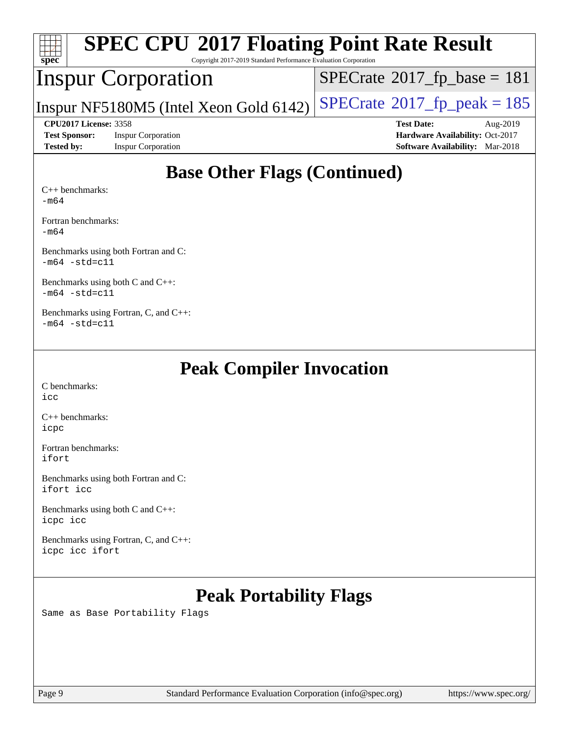| <b>SPEC CPU®2017 Floating Point Rate Result</b><br>spec<br>Copyright 2017-2019 Standard Performance Evaluation Corporation |                                        |                                              |  |  |  |  |  |
|----------------------------------------------------------------------------------------------------------------------------|----------------------------------------|----------------------------------------------|--|--|--|--|--|
|                                                                                                                            | <b>Inspur Corporation</b>              | $SPECrate^{\circ}2017$ _fp_base = 181        |  |  |  |  |  |
|                                                                                                                            | Inspur NF5180M5 (Intel Xeon Gold 6142) | $SPECrate^{\circledcirc}2017_fp\_peak = 185$ |  |  |  |  |  |
| <b>CPU2017 License: 3358</b>                                                                                               |                                        | <b>Test Date:</b><br>Aug-2019                |  |  |  |  |  |
| <b>Test Sponsor:</b>                                                                                                       | <b>Inspur Corporation</b>              | Hardware Availability: Oct-2017              |  |  |  |  |  |
| <b>Tested by:</b>                                                                                                          | <b>Inspur Corporation</b>              | <b>Software Availability:</b> Mar-2018       |  |  |  |  |  |
| $C_{++}$ benchmarks:<br>$-m64$                                                                                             | <b>Base Other Flags (Continued)</b>    |                                              |  |  |  |  |  |

[Fortran benchmarks](http://www.spec.org/auto/cpu2017/Docs/result-fields.html#Fortranbenchmarks): [-m64](http://www.spec.org/cpu2017/results/res2019q3/cpu2017-20190819-16996.flags.html#user_FCbase_intel_intel64_18.0_af43caccfc8ded86e7699f2159af6efc7655f51387b94da716254467f3c01020a5059329e2569e4053f409e7c9202a7efc638f7a6d1ffb3f52dea4a3e31d82ab)

[Benchmarks using both Fortran and C](http://www.spec.org/auto/cpu2017/Docs/result-fields.html#BenchmarksusingbothFortranandC): [-m64](http://www.spec.org/cpu2017/results/res2019q3/cpu2017-20190819-16996.flags.html#user_CC_FCbase_intel_intel64_18.0_af43caccfc8ded86e7699f2159af6efc7655f51387b94da716254467f3c01020a5059329e2569e4053f409e7c9202a7efc638f7a6d1ffb3f52dea4a3e31d82ab) [-std=c11](http://www.spec.org/cpu2017/results/res2019q3/cpu2017-20190819-16996.flags.html#user_CC_FCbase_intel_compiler_c11_mode_0e1c27790398a4642dfca32ffe6c27b5796f9c2d2676156f2e42c9c44eaad0c049b1cdb667a270c34d979996257aeb8fc440bfb01818dbc9357bd9d174cb8524)

[Benchmarks using both C and C++](http://www.spec.org/auto/cpu2017/Docs/result-fields.html#BenchmarksusingbothCandCXX): [-m64](http://www.spec.org/cpu2017/results/res2019q3/cpu2017-20190819-16996.flags.html#user_CC_CXXbase_intel_intel64_18.0_af43caccfc8ded86e7699f2159af6efc7655f51387b94da716254467f3c01020a5059329e2569e4053f409e7c9202a7efc638f7a6d1ffb3f52dea4a3e31d82ab) [-std=c11](http://www.spec.org/cpu2017/results/res2019q3/cpu2017-20190819-16996.flags.html#user_CC_CXXbase_intel_compiler_c11_mode_0e1c27790398a4642dfca32ffe6c27b5796f9c2d2676156f2e42c9c44eaad0c049b1cdb667a270c34d979996257aeb8fc440bfb01818dbc9357bd9d174cb8524)

[Benchmarks using Fortran, C, and C++:](http://www.spec.org/auto/cpu2017/Docs/result-fields.html#BenchmarksusingFortranCandCXX)  $-m64$   $-std=cl1$ 

### **[Peak Compiler Invocation](http://www.spec.org/auto/cpu2017/Docs/result-fields.html#PeakCompilerInvocation)**

[C benchmarks](http://www.spec.org/auto/cpu2017/Docs/result-fields.html#Cbenchmarks): [icc](http://www.spec.org/cpu2017/results/res2019q3/cpu2017-20190819-16996.flags.html#user_CCpeak_intel_icc_18.0_66fc1ee009f7361af1fbd72ca7dcefbb700085f36577c54f309893dd4ec40d12360134090235512931783d35fd58c0460139e722d5067c5574d8eaf2b3e37e92)

[C++ benchmarks:](http://www.spec.org/auto/cpu2017/Docs/result-fields.html#CXXbenchmarks) [icpc](http://www.spec.org/cpu2017/results/res2019q3/cpu2017-20190819-16996.flags.html#user_CXXpeak_intel_icpc_18.0_c510b6838c7f56d33e37e94d029a35b4a7bccf4766a728ee175e80a419847e808290a9b78be685c44ab727ea267ec2f070ec5dc83b407c0218cded6866a35d07)

[Fortran benchmarks](http://www.spec.org/auto/cpu2017/Docs/result-fields.html#Fortranbenchmarks): [ifort](http://www.spec.org/cpu2017/results/res2019q3/cpu2017-20190819-16996.flags.html#user_FCpeak_intel_ifort_18.0_8111460550e3ca792625aed983ce982f94888b8b503583aa7ba2b8303487b4d8a21a13e7191a45c5fd58ff318f48f9492884d4413fa793fd88dd292cad7027ca)

[Benchmarks using both Fortran and C](http://www.spec.org/auto/cpu2017/Docs/result-fields.html#BenchmarksusingbothFortranandC): [ifort](http://www.spec.org/cpu2017/results/res2019q3/cpu2017-20190819-16996.flags.html#user_CC_FCpeak_intel_ifort_18.0_8111460550e3ca792625aed983ce982f94888b8b503583aa7ba2b8303487b4d8a21a13e7191a45c5fd58ff318f48f9492884d4413fa793fd88dd292cad7027ca) [icc](http://www.spec.org/cpu2017/results/res2019q3/cpu2017-20190819-16996.flags.html#user_CC_FCpeak_intel_icc_18.0_66fc1ee009f7361af1fbd72ca7dcefbb700085f36577c54f309893dd4ec40d12360134090235512931783d35fd58c0460139e722d5067c5574d8eaf2b3e37e92)

[Benchmarks using both C and C++](http://www.spec.org/auto/cpu2017/Docs/result-fields.html#BenchmarksusingbothCandCXX): [icpc](http://www.spec.org/cpu2017/results/res2019q3/cpu2017-20190819-16996.flags.html#user_CC_CXXpeak_intel_icpc_18.0_c510b6838c7f56d33e37e94d029a35b4a7bccf4766a728ee175e80a419847e808290a9b78be685c44ab727ea267ec2f070ec5dc83b407c0218cded6866a35d07) [icc](http://www.spec.org/cpu2017/results/res2019q3/cpu2017-20190819-16996.flags.html#user_CC_CXXpeak_intel_icc_18.0_66fc1ee009f7361af1fbd72ca7dcefbb700085f36577c54f309893dd4ec40d12360134090235512931783d35fd58c0460139e722d5067c5574d8eaf2b3e37e92)

[Benchmarks using Fortran, C, and C++:](http://www.spec.org/auto/cpu2017/Docs/result-fields.html#BenchmarksusingFortranCandCXX) [icpc](http://www.spec.org/cpu2017/results/res2019q3/cpu2017-20190819-16996.flags.html#user_CC_CXX_FCpeak_intel_icpc_18.0_c510b6838c7f56d33e37e94d029a35b4a7bccf4766a728ee175e80a419847e808290a9b78be685c44ab727ea267ec2f070ec5dc83b407c0218cded6866a35d07) [icc](http://www.spec.org/cpu2017/results/res2019q3/cpu2017-20190819-16996.flags.html#user_CC_CXX_FCpeak_intel_icc_18.0_66fc1ee009f7361af1fbd72ca7dcefbb700085f36577c54f309893dd4ec40d12360134090235512931783d35fd58c0460139e722d5067c5574d8eaf2b3e37e92) [ifort](http://www.spec.org/cpu2017/results/res2019q3/cpu2017-20190819-16996.flags.html#user_CC_CXX_FCpeak_intel_ifort_18.0_8111460550e3ca792625aed983ce982f94888b8b503583aa7ba2b8303487b4d8a21a13e7191a45c5fd58ff318f48f9492884d4413fa793fd88dd292cad7027ca)

## **[Peak Portability Flags](http://www.spec.org/auto/cpu2017/Docs/result-fields.html#PeakPortabilityFlags)**

Same as Base Portability Flags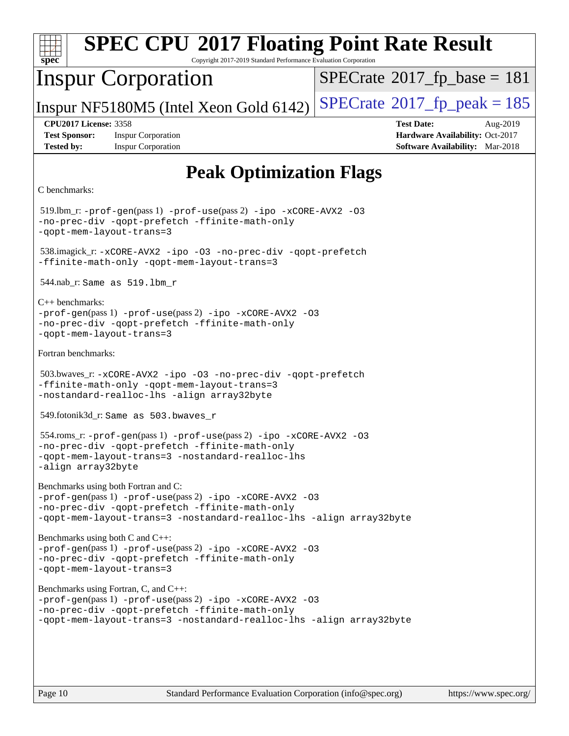| <b>SPEC CPU®2017 Floating Point Rate Result</b><br>spec <sup>®</sup><br>Copyright 2017-2019 Standard Performance Evaluation Corporation                                                                                    |                                                                                                            |  |  |  |  |  |
|----------------------------------------------------------------------------------------------------------------------------------------------------------------------------------------------------------------------------|------------------------------------------------------------------------------------------------------------|--|--|--|--|--|
| <b>Inspur Corporation</b>                                                                                                                                                                                                  | $SPECrate^{\circ}2017$ fp base = 181                                                                       |  |  |  |  |  |
| Inspur NF5180M5 (Intel Xeon Gold 6142)                                                                                                                                                                                     | $SPECTate@2017_fp\_peak = 185$                                                                             |  |  |  |  |  |
| <b>CPU2017 License: 3358</b><br><b>Test Sponsor:</b><br><b>Inspur Corporation</b><br><b>Tested by:</b><br><b>Inspur Corporation</b>                                                                                        | <b>Test Date:</b><br>Aug-2019<br>Hardware Availability: Oct-2017<br><b>Software Availability:</b> Mar-2018 |  |  |  |  |  |
| <b>Peak Optimization Flags</b>                                                                                                                                                                                             |                                                                                                            |  |  |  |  |  |
| C benchmarks:                                                                                                                                                                                                              |                                                                                                            |  |  |  |  |  |
| $519$ .lbm_r: -prof-gen(pass 1) -prof-use(pass 2) -ipo -xCORE-AVX2 -03<br>-no-prec-div -qopt-prefetch -ffinite-math-only<br>-qopt-mem-layout-trans=3                                                                       |                                                                                                            |  |  |  |  |  |
| 538.imagick_r: -xCORE-AVX2 -ipo -03 -no-prec-div -qopt-prefetch<br>-ffinite-math-only -qopt-mem-layout-trans=3                                                                                                             |                                                                                                            |  |  |  |  |  |
| 544.nab_r: Same as 519.1bm_r                                                                                                                                                                                               |                                                                                                            |  |  |  |  |  |
| $C_{++}$ benchmarks:<br>$-prof-gen(pass 1) -prof-use(pass 2) -ipo -xCORE-AVX2 -O3$<br>-no-prec-div -qopt-prefetch -ffinite-math-only<br>-qopt-mem-layout-trans=3                                                           |                                                                                                            |  |  |  |  |  |
| Fortran benchmarks:                                                                                                                                                                                                        |                                                                                                            |  |  |  |  |  |
| 503.bwaves_r:-xCORE-AVX2 -ipo -03 -no-prec-div -qopt-prefetch<br>-ffinite-math-only -qopt-mem-layout-trans=3<br>-nostandard-realloc-lhs -align array32byte                                                                 |                                                                                                            |  |  |  |  |  |
| 549.fotonik3d_r: Same as 503.bwaves_r                                                                                                                                                                                      |                                                                                                            |  |  |  |  |  |
| 554.roms_r:-prof-gen(pass 1) -prof-use(pass 2) -ipo -xCORE-AVX2 -03<br>-no-prec-div -qopt-prefetch -ffinite-math-only<br>-qopt-mem-layout-trans=3 -nostandard-realloc-lhs<br>-align array32byte                            |                                                                                                            |  |  |  |  |  |
| Benchmarks using both Fortran and C:<br>-prof-gen(pass 1) -prof-use(pass 2) -ipo -xCORE-AVX2 -03<br>-no-prec-div -qopt-prefetch -ffinite-math-only<br>-qopt-mem-layout-trans=3 -nostandard-realloc-lhs -align array32byte  |                                                                                                            |  |  |  |  |  |
| Benchmarks using both C and C++:<br>-prof-gen(pass 1) -prof-use(pass 2) -ipo -xCORE-AVX2 -03<br>-no-prec-div -qopt-prefetch -ffinite-math-only<br>-qopt-mem-layout-trans=3                                                 |                                                                                                            |  |  |  |  |  |
| Benchmarks using Fortran, C, and C++:<br>-prof-gen(pass 1) -prof-use(pass 2) -ipo -xCORE-AVX2 -03<br>-no-prec-div -qopt-prefetch -ffinite-math-only<br>-qopt-mem-layout-trans=3 -nostandard-realloc-lhs -align array32byte |                                                                                                            |  |  |  |  |  |
|                                                                                                                                                                                                                            |                                                                                                            |  |  |  |  |  |